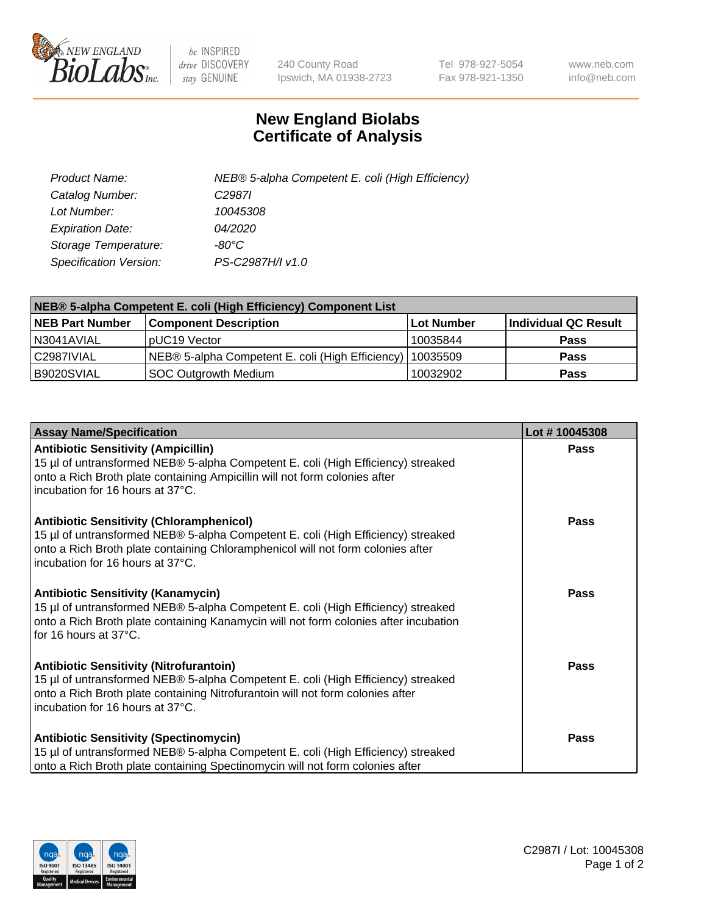

 $be$  INSPIRED drive DISCOVERY stay GENUINE

240 County Road Ipswich, MA 01938-2723 Tel 978-927-5054 Fax 978-921-1350 www.neb.com info@neb.com

## **New England Biolabs Certificate of Analysis**

| Product Name:           | NEB® 5-alpha Competent E. coli (High Efficiency) |
|-------------------------|--------------------------------------------------|
| Catalog Number:         | C <sub>2987</sub>                                |
| Lot Number:             | 10045308                                         |
| <b>Expiration Date:</b> | 04/2020                                          |
| Storage Temperature:    | -80°C.                                           |
| Specification Version:  | PS-C2987H/I v1.0                                 |

| NEB® 5-alpha Competent E. coli (High Efficiency) Component List |                                                  |            |                      |  |
|-----------------------------------------------------------------|--------------------------------------------------|------------|----------------------|--|
| <b>NEB Part Number</b>                                          | <b>Component Description</b>                     | Lot Number | Individual QC Result |  |
| N3041AVIAL                                                      | pUC19 Vector                                     | 10035844   | <b>Pass</b>          |  |
| C2987IVIAL                                                      | NEB® 5-alpha Competent E. coli (High Efficiency) | 10035509   | <b>Pass</b>          |  |
| B9020SVIAL                                                      | <b>SOC Outgrowth Medium</b>                      | 10032902   | <b>Pass</b>          |  |

| <b>Assay Name/Specification</b>                                                                                                                                                                                                                            | Lot #10045308 |
|------------------------------------------------------------------------------------------------------------------------------------------------------------------------------------------------------------------------------------------------------------|---------------|
| <b>Antibiotic Sensitivity (Ampicillin)</b><br>15 µl of untransformed NEB® 5-alpha Competent E. coli (High Efficiency) streaked<br>onto a Rich Broth plate containing Ampicillin will not form colonies after<br>incubation for 16 hours at 37°C.           | Pass          |
| <b>Antibiotic Sensitivity (Chloramphenicol)</b><br>15 µl of untransformed NEB® 5-alpha Competent E. coli (High Efficiency) streaked<br>onto a Rich Broth plate containing Chloramphenicol will not form colonies after<br>incubation for 16 hours at 37°C. | Pass          |
| Antibiotic Sensitivity (Kanamycin)<br>15 µl of untransformed NEB® 5-alpha Competent E. coli (High Efficiency) streaked<br>onto a Rich Broth plate containing Kanamycin will not form colonies after incubation<br>for 16 hours at 37°C.                    | Pass          |
| <b>Antibiotic Sensitivity (Nitrofurantoin)</b><br>15 µl of untransformed NEB® 5-alpha Competent E. coli (High Efficiency) streaked<br>onto a Rich Broth plate containing Nitrofurantoin will not form colonies after<br>incubation for 16 hours at 37°C.   | <b>Pass</b>   |
| <b>Antibiotic Sensitivity (Spectinomycin)</b><br>15 µl of untransformed NEB® 5-alpha Competent E. coli (High Efficiency) streaked<br>onto a Rich Broth plate containing Spectinomycin will not form colonies after                                         | Pass          |